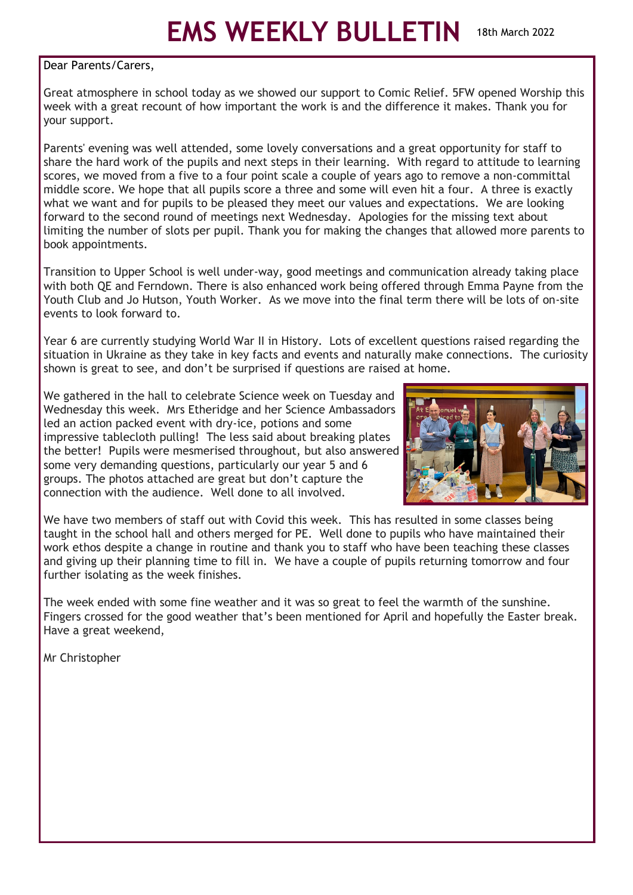# **EMS WEEKLY BULLETIN** 18th March 2022

#### Dear Parents/Carers,

Great atmosphere in school today as we showed our support to Comic Relief. 5FW opened Worship this week with a great recount of how important the work is and the difference it makes. Thank you for your support.

Parents' evening was well attended, some lovely conversations and a great opportunity for staff to share the hard work of the pupils and next steps in their learning. With regard to attitude to learning scores, we moved from a five to a four point scale a couple of years ago to remove a non-committal middle score. We hope that all pupils score a three and some will even hit a four. A three is exactly what we want and for pupils to be pleased they meet our values and expectations. We are looking forward to the second round of meetings next Wednesday. Apologies for the missing text about limiting the number of slots per pupil. Thank you for making the changes that allowed more parents to book appointments.

Transition to Upper School is well under-way, good meetings and communication already taking place with both QE and Ferndown. There is also enhanced work being offered through Emma Payne from the Youth Club and Jo Hutson, Youth Worker. As we move into the final term there will be lots of on-site events to look forward to.

Year 6 are currently studying World War II in History. Lots of excellent questions raised regarding the situation in Ukraine as they take in key facts and events and naturally make connections. The curiosity shown is great to see, and don't be surprised if questions are raised at home.

We gathered in the hall to celebrate Science week on Tuesday and Wednesday this week. Mrs Etheridge and her Science Ambassadors led an action packed event with dry-ice, potions and some impressive tablecloth pulling! The less said about breaking plates the better! Pupils were mesmerised throughout, but also answered some very demanding questions, particularly our year 5 and 6 groups. The photos attached are great but don't capture the connection with the audience. Well done to all involved.



We have two members of staff out with Covid this week. This has resulted in some classes being taught in the school hall and others merged for PE. Well done to pupils who have maintained their work ethos despite a change in routine and thank you to staff who have been teaching these classes and giving up their planning time to fill in. We have a couple of pupils returning tomorrow and four further isolating as the week finishes.

The week ended with some fine weather and it was so great to feel the warmth of the sunshine. Fingers crossed for the good weather that's been mentioned for April and hopefully the Easter break. Have a great weekend,

Mr Christopher